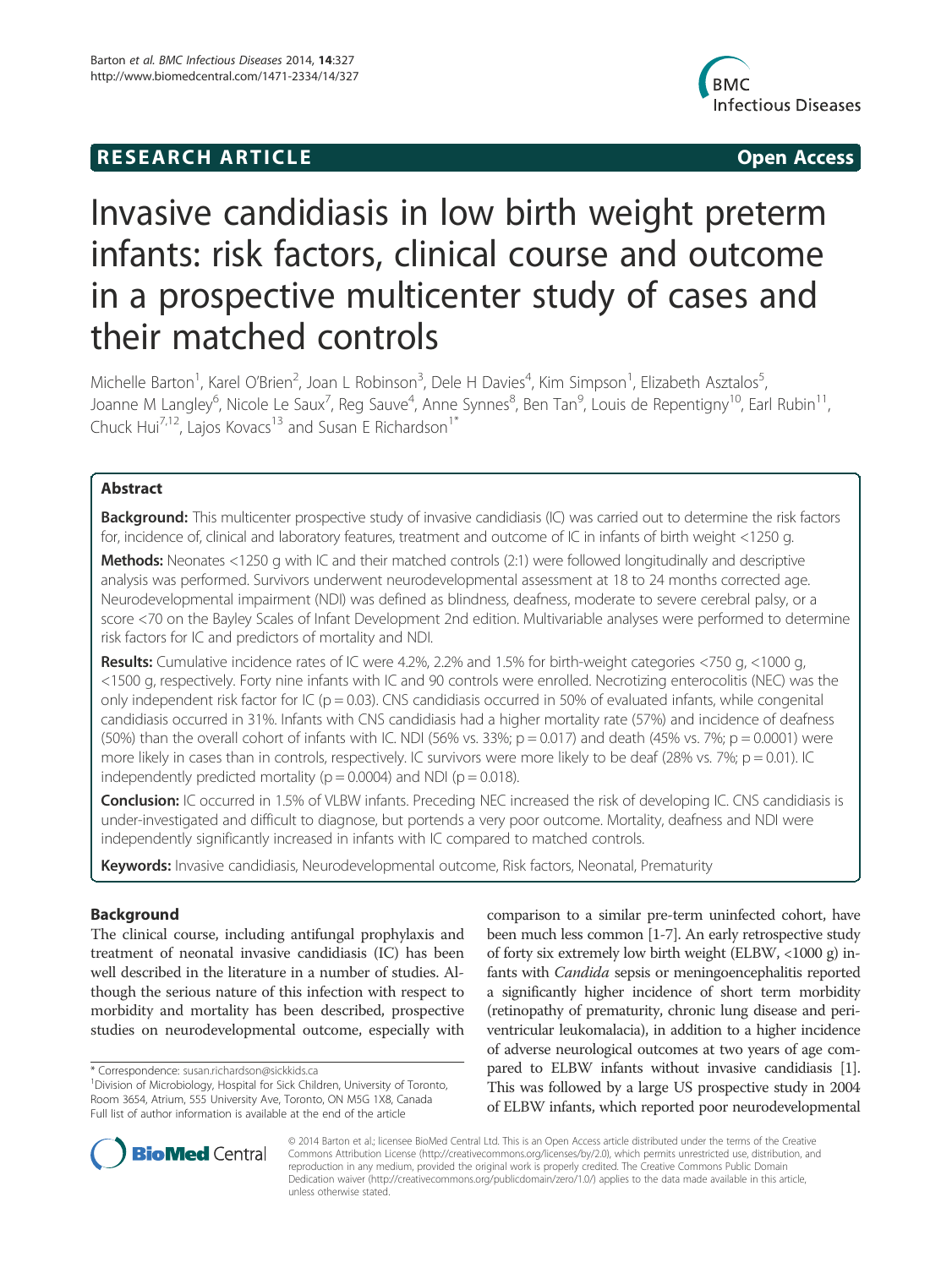# **RESEARCH ARTICLE Example 2018 12:00 Open Access**



# Invasive candidiasis in low birth weight preterm infants: risk factors, clinical course and outcome in a prospective multicenter study of cases and their matched controls

Michelle Barton<sup>1</sup>, Karel O'Brien<sup>2</sup>, Joan L Robinson<sup>3</sup>, Dele H Davies<sup>4</sup>, Kim Simpson<sup>1</sup>, Elizabeth Asztalos<sup>5</sup> , Joanne M Langley<sup>6</sup>, Nicole Le Saux<sup>7</sup>, Reg Sauve<sup>4</sup>, Anne Synnes<sup>8</sup>, Ben Tan<sup>9</sup>, Louis de Repentigny<sup>10</sup>, Earl Rubin<sup>11</sup>, Chuck Hui<sup>7,12</sup>, Lajos Kovacs<sup>13</sup> and Susan E Richardson<sup>1\*</sup>

# Abstract

Background: This multicenter prospective study of invasive candidiasis (IC) was carried out to determine the risk factors for, incidence of, clinical and laboratory features, treatment and outcome of IC in infants of birth weight <1250 g.

Methods: Neonates <1250 g with IC and their matched controls (2:1) were followed longitudinally and descriptive analysis was performed. Survivors underwent neurodevelopmental assessment at 18 to 24 months corrected age. Neurodevelopmental impairment (NDI) was defined as blindness, deafness, moderate to severe cerebral palsy, or a score <70 on the Bayley Scales of Infant Development 2nd edition. Multivariable analyses were performed to determine risk factors for IC and predictors of mortality and NDI.

Results: Cumulative incidence rates of IC were 4.2%, 2.2% and 1.5% for birth-weight categories <750 g, <1000 g, <1500 g, respectively. Forty nine infants with IC and 90 controls were enrolled. Necrotizing enterocolitis (NEC) was the only independent risk factor for IC ( $p = 0.03$ ). CNS candidiasis occurred in 50% of evaluated infants, while congenital candidiasis occurred in 31%. Infants with CNS candidiasis had a higher mortality rate (57%) and incidence of deafness (50%) than the overall cohort of infants with IC. NDI (56% vs. 33%;  $p = 0.017$ ) and death (45% vs. 7%;  $p = 0.0001$ ) were more likely in cases than in controls, respectively. IC survivors were more likely to be deaf (28% vs. 7%;  $p = 0.01$ ). IC independently predicted mortality ( $p = 0.0004$ ) and NDI ( $p = 0.018$ ).

Conclusion: IC occurred in 1.5% of VLBW infants. Preceding NEC increased the risk of developing IC. CNS candidiasis is under-investigated and difficult to diagnose, but portends a very poor outcome. Mortality, deafness and NDI were independently significantly increased in infants with IC compared to matched controls.

Keywords: Invasive candidiasis, Neurodevelopmental outcome, Risk factors, Neonatal, Prematurity

# Background

The clinical course, including antifungal prophylaxis and treatment of neonatal invasive candidiasis (IC) has been well described in the literature in a number of studies. Although the serious nature of this infection with respect to morbidity and mortality has been described, prospective studies on neurodevelopmental outcome, especially with

comparison to a similar pre-term uninfected cohort, have been much less common [1-7]. An early retrospective study of forty six extremely low birth weight (ELBW, <1000 g) infants with *Candida* sepsis or meningoencephalitis reported a significantly higher incidence of short term morbidity (retinopathy of prematurity, chronic lung disease and periventricular leukomalacia), in addition to a higher incidence of adverse neurological outcomes at two years of age compared to ELBW infants without invasive candidiasis [1]. This was followed by a large US prospective study in 2004 of ELBW infants, which reported poor neurodevelopmental



© 2014 Barton et al.; licensee BioMed Central Ltd. This is an Open Access article distributed under the terms of the Creative Commons Attribution License (http://creativecommons.org/licenses/by/2.0), which permits unrestricted use, distribution, and reproduction in any medium, provided the original work is properly credited. The Creative Commons Public Domain Dedication waiver (http://creativecommons.org/publicdomain/zero/1.0/) applies to the data made available in this article, unless otherwise stated.

<sup>\*</sup> Correspondence: susan.richardson@sickkids.ca <sup>1</sup>

<sup>&</sup>lt;sup>1</sup> Division of Microbiology, Hospital for Sick Children, University of Toronto, Room 3654, Atrium, 555 University Ave, Toronto, ON M5G 1X8, Canada Full list of author information is available at the end of the article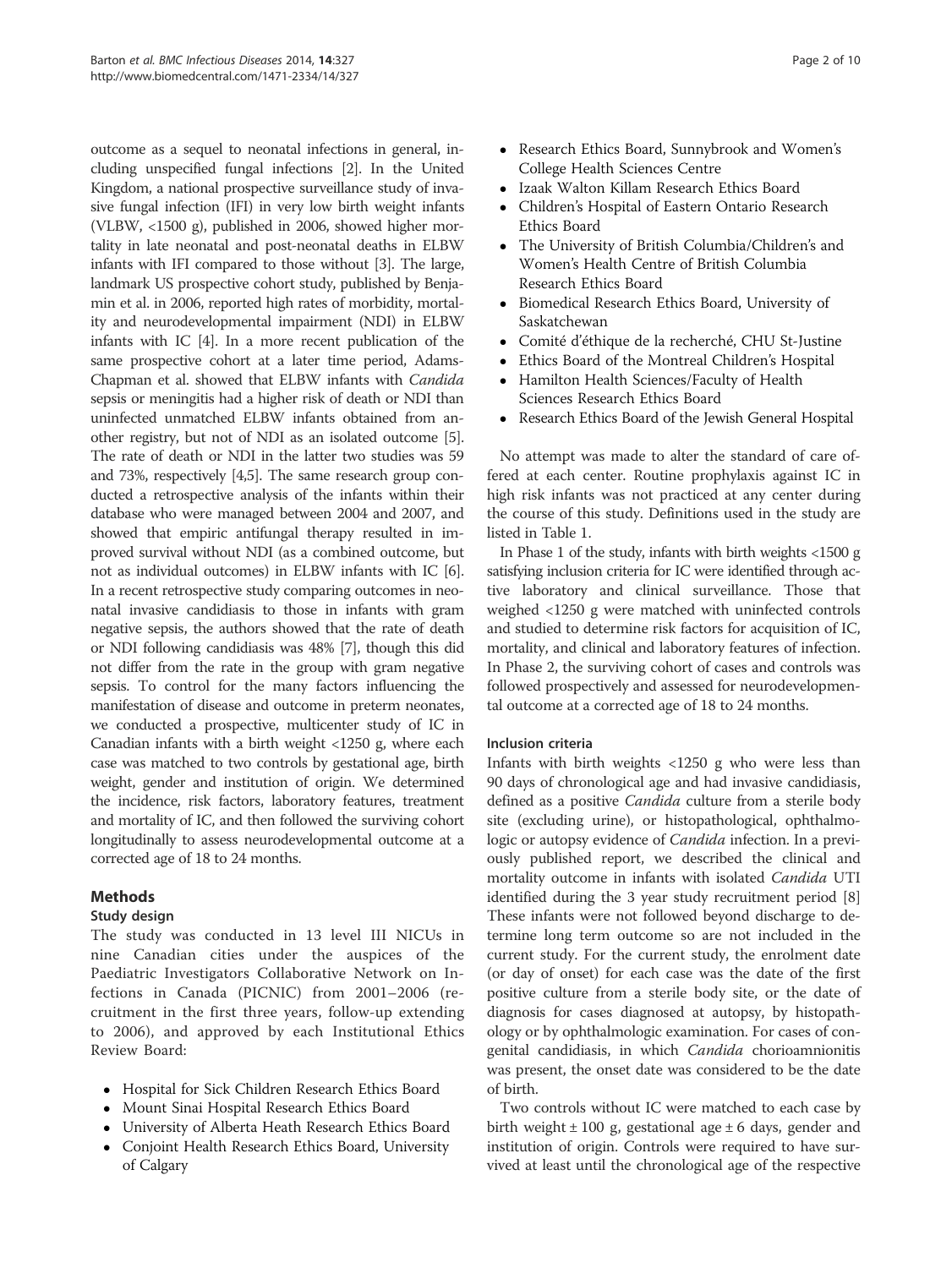outcome as a sequel to neonatal infections in general, including unspecified fungal infections [2]. In the United Kingdom, a national prospective surveillance study of invasive fungal infection (IFI) in very low birth weight infants (VLBW, <1500 g), published in 2006, showed higher mortality in late neonatal and post-neonatal deaths in ELBW infants with IFI compared to those without [3]. The large, landmark US prospective cohort study, published by Benjamin et al. in 2006, reported high rates of morbidity, mortality and neurodevelopmental impairment (NDI) in ELBW infants with IC [4]. In a more recent publication of the same prospective cohort at a later time period, Adams-Chapman et al. showed that ELBW infants with Candida sepsis or meningitis had a higher risk of death or NDI than uninfected unmatched ELBW infants obtained from another registry, but not of NDI as an isolated outcome [5]. The rate of death or NDI in the latter two studies was 59 and 73%, respectively [4,5]. The same research group conducted a retrospective analysis of the infants within their database who were managed between 2004 and 2007, and showed that empiric antifungal therapy resulted in improved survival without NDI (as a combined outcome, but not as individual outcomes) in ELBW infants with IC [6]. In a recent retrospective study comparing outcomes in neonatal invasive candidiasis to those in infants with gram negative sepsis, the authors showed that the rate of death or NDI following candidiasis was 48% [7], though this did not differ from the rate in the group with gram negative sepsis. To control for the many factors influencing the manifestation of disease and outcome in preterm neonates, we conducted a prospective, multicenter study of IC in Canadian infants with a birth weight <1250 g, where each case was matched to two controls by gestational age, birth weight, gender and institution of origin. We determined the incidence, risk factors, laboratory features, treatment and mortality of IC, and then followed the surviving cohort longitudinally to assess neurodevelopmental outcome at a corrected age of 18 to 24 months.

# Methods

# Study design

The study was conducted in 13 level III NICUs in nine Canadian cities under the auspices of the Paediatric Investigators Collaborative Network on Infections in Canada (PICNIC) from 2001–2006 (recruitment in the first three years, follow-up extending to 2006), and approved by each Institutional Ethics Review Board:

- Hospital for Sick Children Research Ethics Board
- Mount Sinai Hospital Research Ethics Board
- University of Alberta Heath Research Ethics Board - Conjoint Health Research Ethics Board, University of Calgary
- $\bullet$  Research Ethics Board, Sunnybrook and Women's College Health Sciences Centre
- Izaak Walton Killam Research Ethics Board
- Children's Hospital of Eastern Ontario Research Ethics Board
- The University of British Columbia/Children's and Women's Health Centre of British Columbia Research Ethics Board
- Biomedical Research Ethics Board, University of Saskatchewan
- Comité d'éthique de la recherché, CHU St-Justine
- Ethics Board of the Montreal Children's Hospital
- - Hamilton Health Sciences/Faculty of Health Sciences Research Ethics Board
- Research Ethics Board of the Jewish General Hospital

No attempt was made to alter the standard of care offered at each center. Routine prophylaxis against IC in high risk infants was not practiced at any center during the course of this study. Definitions used in the study are listed in Table 1.

In Phase 1 of the study, infants with birth weights <1500 g satisfying inclusion criteria for IC were identified through active laboratory and clinical surveillance. Those that weighed <1250 g were matched with uninfected controls and studied to determine risk factors for acquisition of IC, mortality, and clinical and laboratory features of infection. In Phase 2, the surviving cohort of cases and controls was followed prospectively and assessed for neurodevelopmental outcome at a corrected age of 18 to 24 months.

# Inclusion criteria

Infants with birth weights <1250 g who were less than 90 days of chronological age and had invasive candidiasis, defined as a positive *Candida* culture from a sterile body site (excluding urine), or histopathological, ophthalmologic or autopsy evidence of *Candida* infection. In a previously published report, we described the clinical and mortality outcome in infants with isolated Candida UTI identified during the 3 year study recruitment period [8] These infants were not followed beyond discharge to determine long term outcome so are not included in the current study. For the current study, the enrolment date (or day of onset) for each case was the date of the first positive culture from a sterile body site, or the date of diagnosis for cases diagnosed at autopsy, by histopathology or by ophthalmologic examination. For cases of congenital candidiasis, in which Candida chorioamnionitis was present, the onset date was considered to be the date of birth.

Two controls without IC were matched to each case by birth weight  $\pm$  100 g, gestational age  $\pm$  6 days, gender and institution of origin. Controls were required to have survived at least until the chronological age of the respective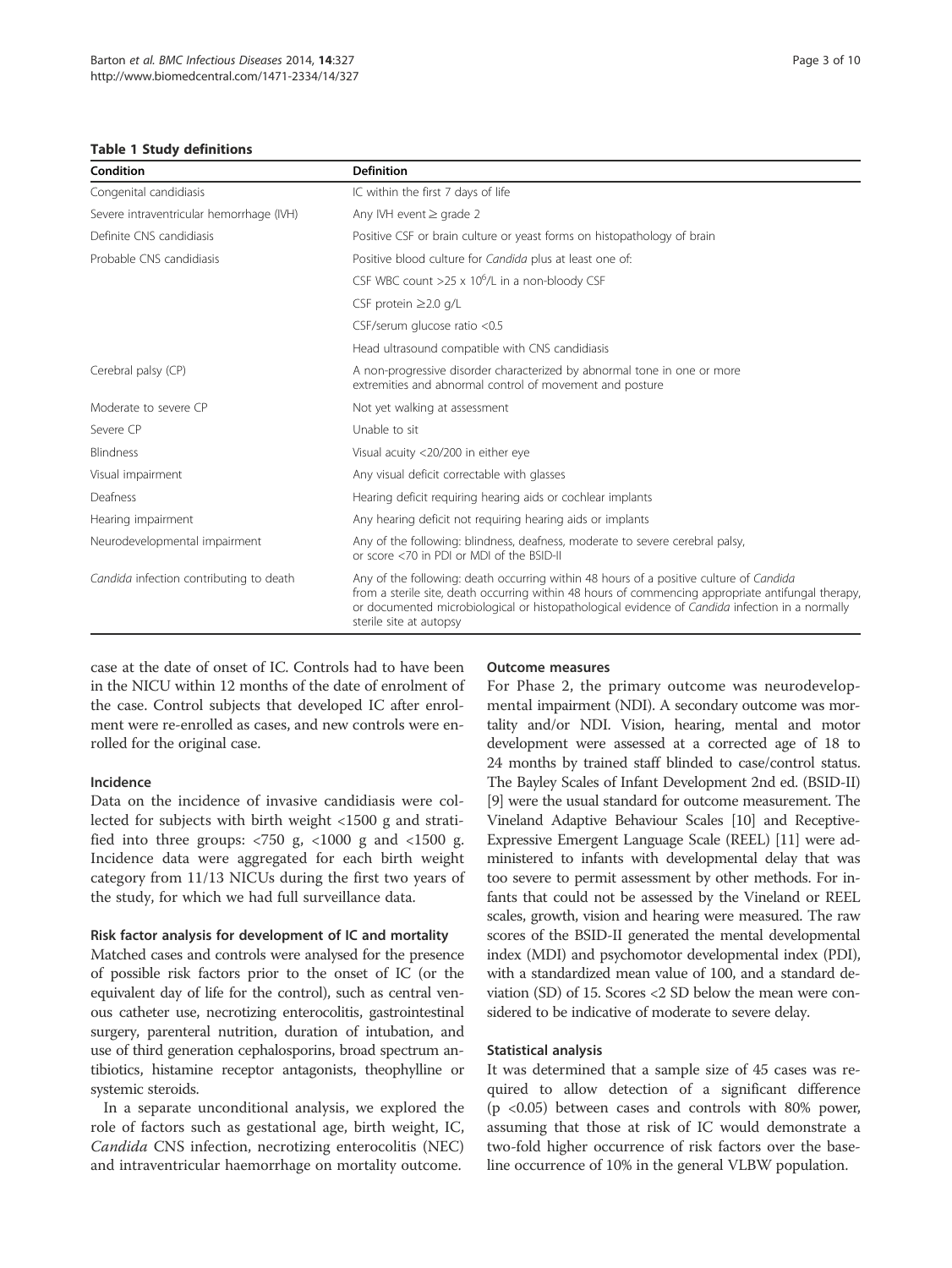#### Table 1 Study definitions

| Condition                                | <b>Definition</b>                                                                                                                                                                                                                                                                                                         |  |  |  |  |
|------------------------------------------|---------------------------------------------------------------------------------------------------------------------------------------------------------------------------------------------------------------------------------------------------------------------------------------------------------------------------|--|--|--|--|
| Congenital candidiasis                   | IC within the first 7 days of life                                                                                                                                                                                                                                                                                        |  |  |  |  |
| Severe intraventricular hemorrhage (IVH) | Any IVH event $\geq$ grade 2                                                                                                                                                                                                                                                                                              |  |  |  |  |
| Definite CNS candidiasis                 | Positive CSF or brain culture or yeast forms on histopathology of brain                                                                                                                                                                                                                                                   |  |  |  |  |
| Probable CNS candidiasis                 | Positive blood culture for <i>Candida</i> plus at least one of:                                                                                                                                                                                                                                                           |  |  |  |  |
|                                          | CSF WBC count $>25 \times 10^6$ /L in a non-bloody CSF                                                                                                                                                                                                                                                                    |  |  |  |  |
|                                          | CSF protein $\geq$ 2.0 g/L                                                                                                                                                                                                                                                                                                |  |  |  |  |
|                                          | CSF/serum glucose ratio <0.5                                                                                                                                                                                                                                                                                              |  |  |  |  |
|                                          | Head ultrasound compatible with CNS candidiasis                                                                                                                                                                                                                                                                           |  |  |  |  |
| Cerebral palsy (CP)                      | A non-progressive disorder characterized by abnormal tone in one or more<br>extremities and abnormal control of movement and posture                                                                                                                                                                                      |  |  |  |  |
| Moderate to severe CP                    | Not yet walking at assessment                                                                                                                                                                                                                                                                                             |  |  |  |  |
| Severe CP                                | Unable to sit                                                                                                                                                                                                                                                                                                             |  |  |  |  |
| <b>Blindness</b>                         | Visual acuity <20/200 in either eye                                                                                                                                                                                                                                                                                       |  |  |  |  |
| Visual impairment                        | Any visual deficit correctable with glasses                                                                                                                                                                                                                                                                               |  |  |  |  |
| Deafness                                 | Hearing deficit requiring hearing aids or cochlear implants                                                                                                                                                                                                                                                               |  |  |  |  |
| Hearing impairment                       | Any hearing deficit not requiring hearing aids or implants                                                                                                                                                                                                                                                                |  |  |  |  |
| Neurodevelopmental impairment            | Any of the following: blindness, deafness, moderate to severe cerebral palsy,<br>or score <70 in PDI or MDI of the BSID-II                                                                                                                                                                                                |  |  |  |  |
| Candida infection contributing to death  | Any of the following: death occurring within 48 hours of a positive culture of Candida<br>from a sterile site, death occurring within 48 hours of commencing appropriate antifungal therapy,<br>or documented microbiological or histopathological evidence of Candida infection in a normally<br>sterile site at autopsy |  |  |  |  |

case at the date of onset of IC. Controls had to have been in the NICU within 12 months of the date of enrolment of the case. Control subjects that developed IC after enrolment were re-enrolled as cases, and new controls were enrolled for the original case.

### Incidence

Data on the incidence of invasive candidiasis were collected for subjects with birth weight <1500 g and stratified into three groups:  $\langle 750 \text{ g}, \langle 1000 \text{ g} \rangle$  and  $\langle 1500 \text{ g}.$ Incidence data were aggregated for each birth weight category from 11/13 NICUs during the first two years of the study, for which we had full surveillance data.

#### Risk factor analysis for development of IC and mortality

Matched cases and controls were analysed for the presence of possible risk factors prior to the onset of IC (or the equivalent day of life for the control), such as central venous catheter use, necrotizing enterocolitis, gastrointestinal surgery, parenteral nutrition, duration of intubation, and use of third generation cephalosporins, broad spectrum antibiotics, histamine receptor antagonists, theophylline or systemic steroids.

In a separate unconditional analysis, we explored the role of factors such as gestational age, birth weight, IC, Candida CNS infection, necrotizing enterocolitis (NEC) and intraventricular haemorrhage on mortality outcome.

#### Outcome measures

For Phase 2, the primary outcome was neurodevelopmental impairment (NDI). A secondary outcome was mortality and/or NDI. Vision, hearing, mental and motor development were assessed at a corrected age of 18 to 24 months by trained staff blinded to case/control status. The Bayley Scales of Infant Development 2nd ed. (BSID-II) [9] were the usual standard for outcome measurement. The Vineland Adaptive Behaviour Scales [10] and Receptive-Expressive Emergent Language Scale (REEL) [11] were administered to infants with developmental delay that was too severe to permit assessment by other methods. For infants that could not be assessed by the Vineland or REEL scales, growth, vision and hearing were measured. The raw scores of the BSID-II generated the mental developmental index (MDI) and psychomotor developmental index (PDI), with a standardized mean value of 100, and a standard deviation (SD) of 15. Scores <2 SD below the mean were considered to be indicative of moderate to severe delay.

#### Statistical analysis

It was determined that a sample size of 45 cases was required to allow detection of a significant difference (p <0.05) between cases and controls with 80% power, assuming that those at risk of IC would demonstrate a two-fold higher occurrence of risk factors over the baseline occurrence of 10% in the general VLBW population.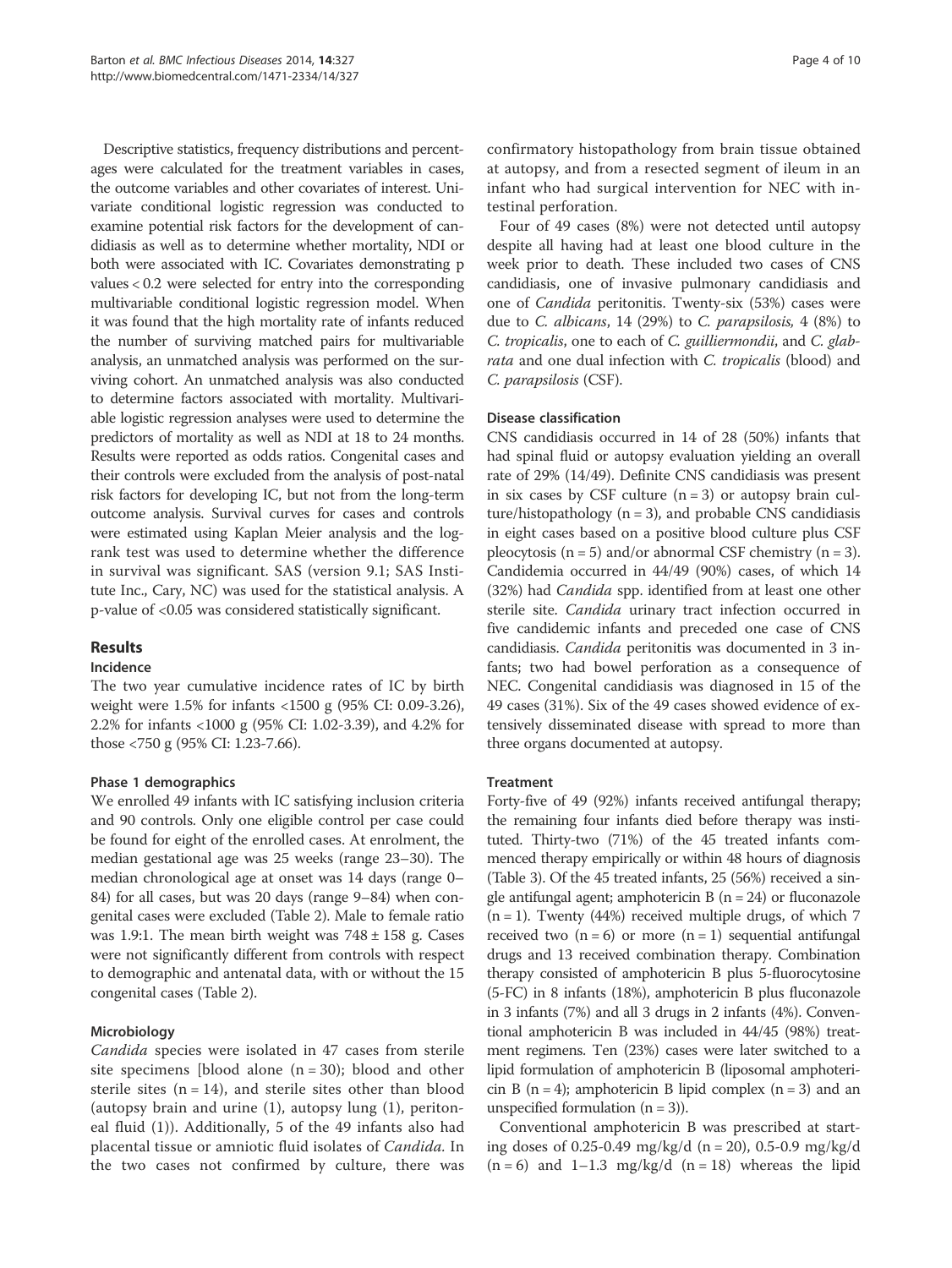Descriptive statistics, frequency distributions and percentages were calculated for the treatment variables in cases, the outcome variables and other covariates of interest. Univariate conditional logistic regression was conducted to examine potential risk factors for the development of candidiasis as well as to determine whether mortality, NDI or both were associated with IC. Covariates demonstrating p values < 0.2 were selected for entry into the corresponding multivariable conditional logistic regression model. When it was found that the high mortality rate of infants reduced the number of surviving matched pairs for multivariable analysis, an unmatched analysis was performed on the surviving cohort. An unmatched analysis was also conducted to determine factors associated with mortality. Multivariable logistic regression analyses were used to determine the predictors of mortality as well as NDI at 18 to 24 months. Results were reported as odds ratios. Congenital cases and their controls were excluded from the analysis of post-natal risk factors for developing IC, but not from the long-term outcome analysis. Survival curves for cases and controls were estimated using Kaplan Meier analysis and the logrank test was used to determine whether the difference in survival was significant. SAS (version 9.1; SAS Institute Inc., Cary, NC) was used for the statistical analysis. A p-value of <0.05 was considered statistically significant.

# Results

# Incidence

The two year cumulative incidence rates of IC by birth weight were 1.5% for infants <1500 g (95% CI: 0.09-3.26), 2.2% for infants <1000 g (95% CI: 1.02-3.39), and 4.2% for those <750 g (95% CI: 1.23-7.66).

# Phase 1 demographics

We enrolled 49 infants with IC satisfying inclusion criteria and 90 controls. Only one eligible control per case could be found for eight of the enrolled cases. At enrolment, the median gestational age was 25 weeks (range 23–30). The median chronological age at onset was 14 days (range 0– 84) for all cases, but was 20 days (range 9–84) when congenital cases were excluded (Table 2). Male to female ratio was 1.9:1. The mean birth weight was  $748 \pm 158$  g. Cases were not significantly different from controls with respect to demographic and antenatal data, with or without the 15 congenital cases (Table 2).

# Microbiology

Candida species were isolated in 47 cases from sterile site specimens [blood alone  $(n = 30)$ ; blood and other sterile sites  $(n = 14)$ , and sterile sites other than blood (autopsy brain and urine (1), autopsy lung (1), peritoneal fluid (1)). Additionally, 5 of the 49 infants also had placental tissue or amniotic fluid isolates of Candida. In the two cases not confirmed by culture, there was

confirmatory histopathology from brain tissue obtained at autopsy, and from a resected segment of ileum in an infant who had surgical intervention for NEC with intestinal perforation.

Four of 49 cases (8%) were not detected until autopsy despite all having had at least one blood culture in the week prior to death. These included two cases of CNS candidiasis, one of invasive pulmonary candidiasis and one of Candida peritonitis. Twenty-six (53%) cases were due to C. albicans, 14 (29%) to C. parapsilosis, 4 (8%) to C. tropicalis, one to each of C. guilliermondii, and C. glabrata and one dual infection with C. tropicalis (blood) and C. parapsilosis (CSF).

# Disease classification

CNS candidiasis occurred in 14 of 28 (50%) infants that had spinal fluid or autopsy evaluation yielding an overall rate of 29% (14/49). Definite CNS candidiasis was present in six cases by CSF culture  $(n = 3)$  or autopsy brain culture/histopathology  $(n = 3)$ , and probable CNS candidiasis in eight cases based on a positive blood culture plus CSF pleocytosis  $(n = 5)$  and/or abnormal CSF chemistry  $(n = 3)$ . Candidemia occurred in 44/49 (90%) cases, of which 14 (32%) had *Candida* spp. identified from at least one other sterile site. Candida urinary tract infection occurred in five candidemic infants and preceded one case of CNS candidiasis. Candida peritonitis was documented in 3 infants; two had bowel perforation as a consequence of NEC. Congenital candidiasis was diagnosed in 15 of the 49 cases (31%). Six of the 49 cases showed evidence of extensively disseminated disease with spread to more than three organs documented at autopsy.

# **Treatment**

Forty-five of 49 (92%) infants received antifungal therapy; the remaining four infants died before therapy was instituted. Thirty-two (71%) of the 45 treated infants commenced therapy empirically or within 48 hours of diagnosis (Table 3). Of the 45 treated infants, 25 (56%) received a single antifungal agent; amphotericin B ( $n = 24$ ) or fluconazole  $(n = 1)$ . Twenty (44%) received multiple drugs, of which 7 received two  $(n = 6)$  or more  $(n = 1)$  sequential antifungal drugs and 13 received combination therapy. Combination therapy consisted of amphotericin B plus 5-fluorocytosine (5-FC) in 8 infants (18%), amphotericin B plus fluconazole in 3 infants (7%) and all 3 drugs in 2 infants (4%). Conventional amphotericin B was included in 44/45 (98%) treatment regimens. Ten (23%) cases were later switched to a lipid formulation of amphotericin B (liposomal amphotericin B ( $n = 4$ ); amphotericin B lipid complex ( $n = 3$ ) and an unspecified formulation  $(n = 3)$ ).

Conventional amphotericin B was prescribed at starting doses of 0.25-0.49 mg/kg/d (n = 20), 0.5-0.9 mg/kg/d  $(n = 6)$  and 1–1.3 mg/kg/d  $(n = 18)$  whereas the lipid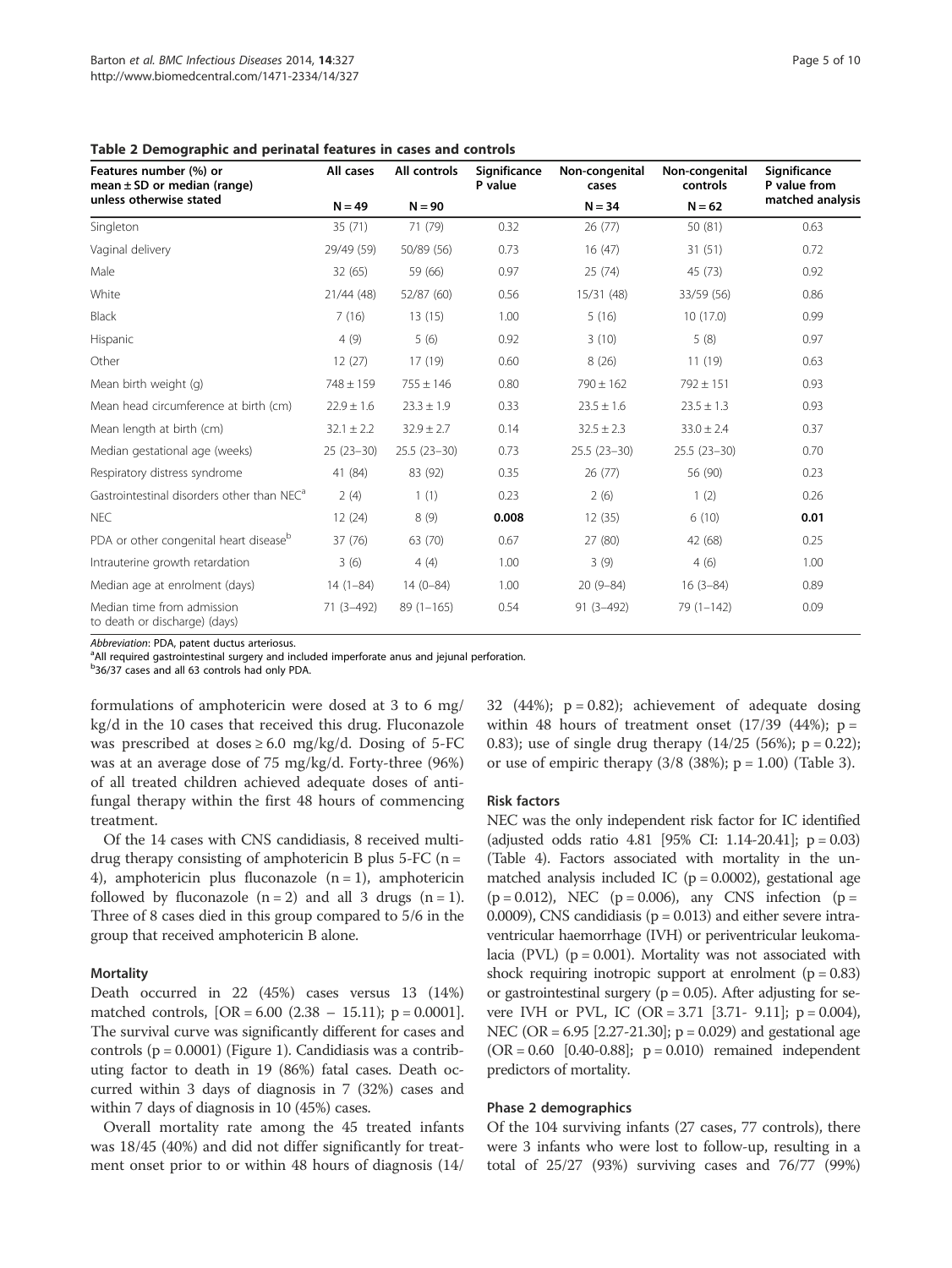Table 2 Demographic and perinatal features in cases and controls

| Features number (%) or<br>mean $\pm$ SD or median (range)   | All cases      | All controls   | Significance<br>P value | Non-congenital<br>cases | Non-congenital<br>controls | Significance<br>P value from |  |
|-------------------------------------------------------------|----------------|----------------|-------------------------|-------------------------|----------------------------|------------------------------|--|
| unless otherwise stated                                     | $N = 49$       | $N = 90$       |                         | $N = 34$                | $N = 62$                   | matched analysis             |  |
| Singleton                                                   | 35(71)         | 71 (79)        | 0.32                    | 26(77)                  | 50 (81)                    | 0.63                         |  |
| Vaginal delivery                                            | 29/49 (59)     | 50/89 (56)     | 0.73                    | 16(47)                  | 31(51)                     | 0.72                         |  |
| Male                                                        | 32 (65)        | 59 (66)        | 0.97                    | 25(74)                  | 45 (73)                    | 0.92                         |  |
| White                                                       | 21/44 (48)     | 52/87 (60)     | 0.56                    | 15/31 (48)              | 33/59 (56)                 | 0.86                         |  |
| <b>Black</b>                                                | 7(16)          | 13(15)         | 1.00                    | 5(16)                   | 10(17.0)                   | 0.99                         |  |
| Hispanic                                                    | 4(9)           | 5(6)           | 0.92                    | 3(10)                   | 5(8)                       | 0.97                         |  |
| Other                                                       | 12(27)         | 17 (19)        | 0.60                    | 8(26)                   | 11(19)                     | 0.63                         |  |
| Mean birth weight (g)                                       | $748 \pm 159$  | $755 \pm 146$  | 0.80                    | $790 \pm 162$           | $792 \pm 151$              | 0.93                         |  |
| Mean head circumference at birth (cm)                       | $22.9 \pm 1.6$ | $23.3 \pm 1.9$ | 0.33                    | $23.5 \pm 1.6$          | $23.5 \pm 1.3$             | 0.93                         |  |
| Mean length at birth (cm)                                   | $32.1 \pm 2.2$ | $32.9 \pm 2.7$ | 0.14                    | $32.5 \pm 2.3$          | $33.0 \pm 2.4$             | 0.37                         |  |
| Median gestational age (weeks)                              | $25(23-30)$    | $25.5(23-30)$  | 0.73                    | $25.5(23-30)$           | $25.5(23-30)$              | 0.70                         |  |
| Respiratory distress syndrome                               | 41 (84)        | 83 (92)        | 0.35                    | 26(77)                  | 56 (90)                    | 0.23                         |  |
| Gastrointestinal disorders other than NEC <sup>a</sup>      | 2(4)           | 1(1)           | 0.23                    | 2(6)                    | 1(2)                       | 0.26                         |  |
| <b>NEC</b>                                                  | 12(24)         | 8(9)           | 0.008                   | 12(35)                  | 6(10)                      | 0.01                         |  |
| PDA or other congenital heart disease <sup>b</sup>          | 37 (76)        | 63 (70)        | 0.67                    | 27 (80)                 | 42 (68)                    | 0.25                         |  |
| Intrauterine growth retardation                             | 3(6)           | 4(4)           | 1.00                    | 3(9)                    | 4(6)                       | 1.00                         |  |
| Median age at enrolment (days)                              | $14(1-84)$     | $14(0-84)$     | 1.00                    | $20(9 - 84)$            | $16(3-84)$                 | 0.89                         |  |
| Median time from admission<br>to death or discharge) (days) | 71 (3-492)     | $89(1 - 165)$  | 0.54                    | $91(3 - 492)$           | $79(1 - 142)$              | 0.09                         |  |

Abbreviation: PDA, patent ductus arteriosus.

<sup>a</sup>All required gastrointestinal surgery and included imperforate anus and jejunal perforation.

<sup>b</sup>36/37 cases and all 63 controls had only PDA.

formulations of amphotericin were dosed at 3 to 6 mg/ kg/d in the 10 cases that received this drug. Fluconazole was prescribed at doses  $\geq 6.0$  mg/kg/d. Dosing of 5-FC was at an average dose of 75 mg/kg/d. Forty-three (96%) of all treated children achieved adequate doses of antifungal therapy within the first 48 hours of commencing treatment.

Of the 14 cases with CNS candidiasis, 8 received multidrug therapy consisting of amphotericin B plus  $5$ -FC (n = 4), amphotericin plus fluconazole  $(n = 1)$ , amphotericin followed by fluconazole  $(n = 2)$  and all 3 drugs  $(n = 1)$ . Three of 8 cases died in this group compared to 5/6 in the group that received amphotericin B alone.

#### Mortality

Death occurred in 22 (45%) cases versus 13 (14%) matched controls,  $[OR = 6.00 (2.38 - 15.11); p = 0.0001].$ The survival curve was significantly different for cases and controls  $(p = 0.0001)$  (Figure 1). Candidiasis was a contributing factor to death in 19 (86%) fatal cases. Death occurred within 3 days of diagnosis in 7 (32%) cases and within 7 days of diagnosis in 10 (45%) cases.

Overall mortality rate among the 45 treated infants was 18/45 (40%) and did not differ significantly for treatment onset prior to or within 48 hours of diagnosis (14/ 32 (44%);  $p = 0.82$ ); achievement of adequate dosing within 48 hours of treatment onset  $(17/39 \ (44\%)$ ; p = 0.83); use of single drug therapy  $(14/25 \ (56\%)$ ; p = 0.22); or use of empiric therapy  $(3/8 (38\%); p = 1.00)$  (Table 3).

#### Risk factors

NEC was the only independent risk factor for IC identified (adjusted odds ratio 4.81 [95% CI: 1.14-20.41]; p = 0.03) (Table 4). Factors associated with mortality in the unmatched analysis included IC ( $p = 0.0002$ ), gestational age  $(p = 0.012)$ , NEC  $(p = 0.006)$ , any CNS infection  $(p = 0.012)$ 0.0009), CNS candidiasis ( $p = 0.013$ ) and either severe intraventricular haemorrhage (IVH) or periventricular leukomalacia (PVL) ( $p = 0.001$ ). Mortality was not associated with shock requiring inotropic support at enrolment  $(p = 0.83)$ or gastrointestinal surgery ( $p = 0.05$ ). After adjusting for severe IVH or PVL, IC (OR = 3.71 [3.71 - 9.11];  $p = 0.004$ ), NEC (OR = 6.95 [2.27-21.30]; p = 0.029) and gestational age  $(OR = 0.60 [0.40 - 0.88]; p = 0.010)$  remained independent predictors of mortality.

#### Phase 2 demographics

Of the 104 surviving infants (27 cases, 77 controls), there were 3 infants who were lost to follow-up, resulting in a total of 25/27 (93%) surviving cases and 76/77 (99%)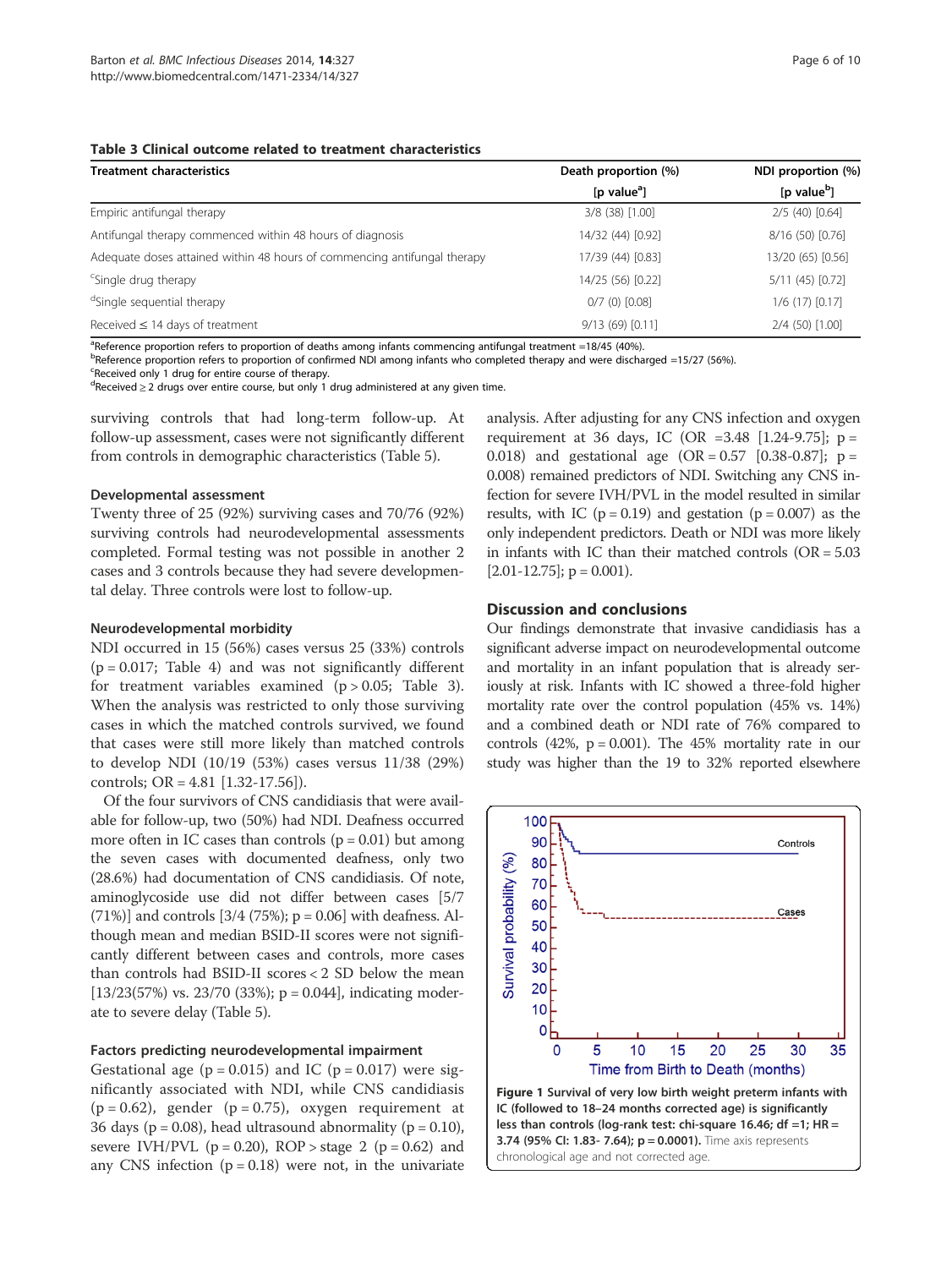#### Table 3 Clinical outcome related to treatment characteristics

| <b>Treatment characteristics</b>                                         | Death proportion (%)                 | NDI proportion (%)      |  |
|--------------------------------------------------------------------------|--------------------------------------|-------------------------|--|
|                                                                          | [p value <sup><math>a</math></sup> ] | [p value <sup>b</sup> ] |  |
| Empiric antifungal therapy                                               | 3/8 (38) [1.00]                      | $2/5$ (40) $[0.64]$     |  |
| Antifungal therapy commenced within 48 hours of diagnosis                | 14/32 (44) [0.92]                    | 8/16 (50) [0.76]        |  |
| Adequate doses attained within 48 hours of commencing antifungal therapy | 17/39 (44) [0.83]                    | 13/20 (65) [0.56]       |  |
| <sup>c</sup> Single drug therapy                                         | 14/25 (56) [0.22]                    | $5/11(45)$ [0.72]       |  |
| <sup>d</sup> Single sequential therapy                                   | $0/7$ (0) $[0.08]$                   | $1/6$ (17) $[0.17]$     |  |
| Received $\leq$ 14 days of treatment                                     | 9/13(69)[0.11]                       | 2/4 (50) [1.00]         |  |

<sup>a</sup>Reference proportion refers to proportion of deaths among infants commencing antifungal treatment =18/45 (40%).

<sup>b</sup>Reference proportion refers to proportion of confirmed NDI among infants who completed therapy and were discharged =15/27 (56%).

<sup>c</sup>Received only 1 drug for entire course of therapy.

<sup>d</sup>Received ≥ 2 drugs over entire course, but only 1 drug administered at any given time.

surviving controls that had long-term follow-up. At follow-up assessment, cases were not significantly different from controls in demographic characteristics (Table 5).

#### Developmental assessment

Twenty three of 25 (92%) surviving cases and 70/76 (92%) surviving controls had neurodevelopmental assessments completed. Formal testing was not possible in another 2 cases and 3 controls because they had severe developmental delay. Three controls were lost to follow-up.

#### Neurodevelopmental morbidity

NDI occurred in 15 (56%) cases versus 25 (33%) controls  $(p = 0.017;$  Table 4) and was not significantly different for treatment variables examined  $(p > 0.05;$  Table 3). When the analysis was restricted to only those surviving cases in which the matched controls survived, we found that cases were still more likely than matched controls to develop NDI (10/19 (53%) cases versus 11/38 (29%) controls; OR = 4.81 [1.32-17.56]).

Of the four survivors of CNS candidiasis that were available for follow-up, two (50%) had NDI. Deafness occurred more often in IC cases than controls  $(p = 0.01)$  but among the seven cases with documented deafness, only two (28.6%) had documentation of CNS candidiasis. Of note, aminoglycoside use did not differ between cases [5/7 (71%)] and controls  $[3/4 (75%)$ ; p = 0.06] with deafness. Although mean and median BSID-II scores were not significantly different between cases and controls, more cases than controls had BSID-II scores < 2 SD below the mean  $[13/23(57%)$  vs. 23/70 (33%); p = 0.044], indicating moderate to severe delay (Table 5).

#### Factors predicting neurodevelopmental impairment

Gestational age ( $p = 0.015$ ) and IC ( $p = 0.017$ ) were significantly associated with NDI, while CNS candidiasis  $(p = 0.62)$ , gender  $(p = 0.75)$ , oxygen requirement at 36 days ( $p = 0.08$ ), head ultrasound abnormality ( $p = 0.10$ ), severe IVH/PVL ( $p = 0.20$ ), ROP > stage 2 ( $p = 0.62$ ) and any CNS infection  $(p = 0.18)$  were not, in the univariate

analysis. After adjusting for any CNS infection and oxygen requirement at 36 days, IC (OR = 3.48 [1.24-9.75];  $p =$ 0.018) and gestational age  $(OR = 0.57 \, [0.38 - 0.87]; p =$ 0.008) remained predictors of NDI. Switching any CNS infection for severe IVH/PVL in the model resulted in similar results, with IC ( $p = 0.19$ ) and gestation ( $p = 0.007$ ) as the only independent predictors. Death or NDI was more likely in infants with IC than their matched controls (OR = 5.03  $[2.01-12.75]$ ; p = 0.001).

#### Discussion and conclusions

Our findings demonstrate that invasive candidiasis has a significant adverse impact on neurodevelopmental outcome and mortality in an infant population that is already seriously at risk. Infants with IC showed a three-fold higher mortality rate over the control population (45% vs. 14%) and a combined death or NDI rate of 76% compared to controls (42%,  $p = 0.001$ ). The 45% mortality rate in our study was higher than the 19 to 32% reported elsewhere

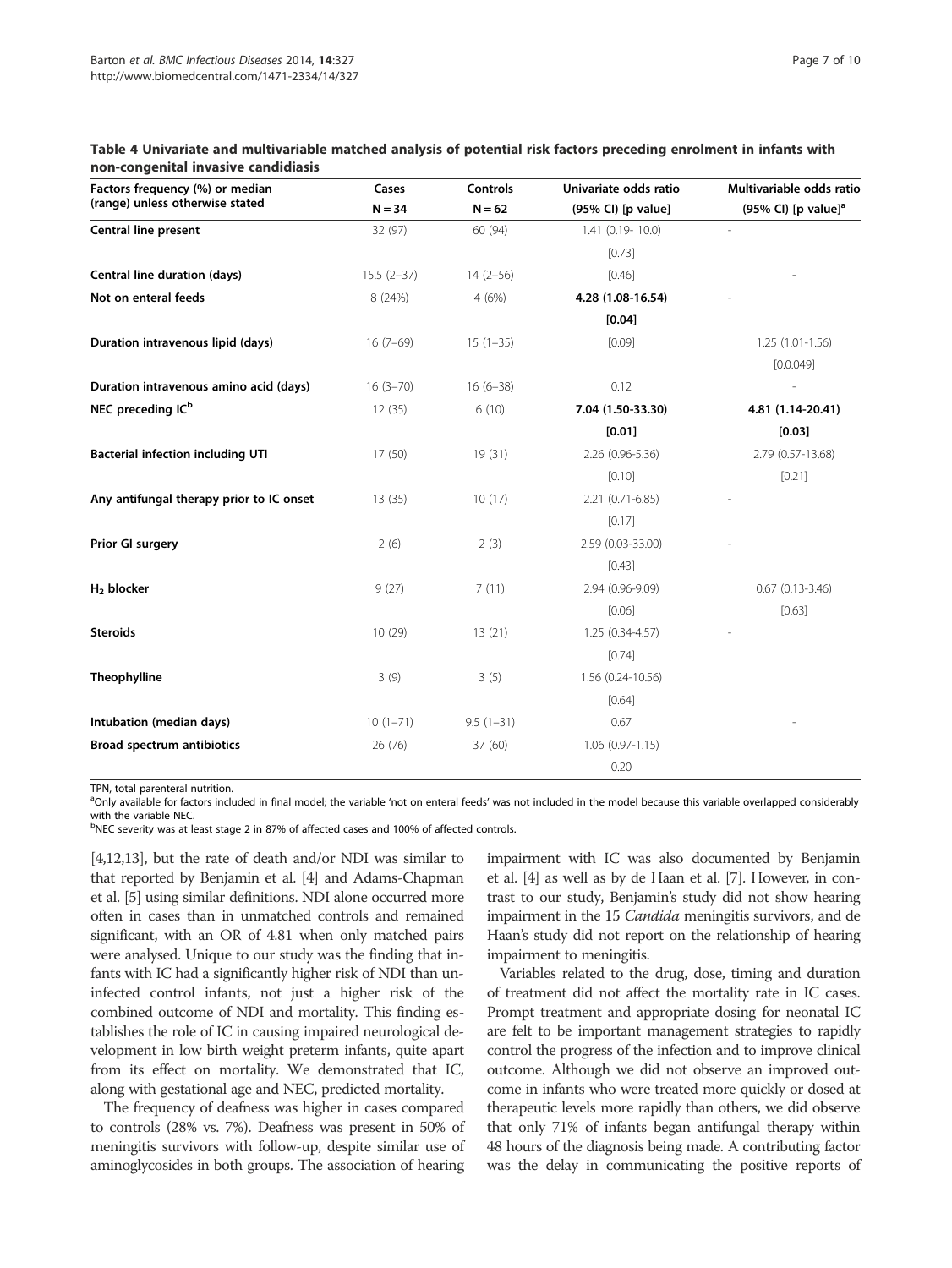| Page 7 of 10 |  |  |
|--------------|--|--|
|              |  |  |

| Factors frequency (%) or median          | Cases        | <b>Controls</b> | Univariate odds ratio | Multivariable odds ratio        |
|------------------------------------------|--------------|-----------------|-----------------------|---------------------------------|
| (range) unless otherwise stated          | $N = 34$     | $N = 62$        | (95% CI) [p value]    | (95% CI) [p value] <sup>a</sup> |
| <b>Central line present</b>              | 32 (97)      | 60 (94)         | 1.41 (0.19-10.0)      |                                 |
|                                          |              |                 | [0.73]                |                                 |
| Central line duration (days)             | $15.5(2-37)$ | $14(2-56)$      | [0.46]                |                                 |
| Not on enteral feeds                     | 8 (24%)      | 4(6%)           | 4.28 (1.08-16.54)     |                                 |
|                                          |              |                 | [0.04]                |                                 |
| Duration intravenous lipid (days)        | $16(7-69)$   | $15(1-35)$      | [0.09]                | $1.25(1.01-1.56)$               |
|                                          |              |                 |                       | [0.0.049]                       |
| Duration intravenous amino acid (days)   | $16(3 - 70)$ | $16(6-38)$      | 0.12                  |                                 |
| NEC preceding IC <sup>b</sup>            | 12(35)       | 6(10)           | 7.04 (1.50-33.30)     | 4.81 (1.14-20.41)               |
|                                          |              |                 | [0.01]                | [0.03]                          |
| <b>Bacterial infection including UTI</b> | 17(50)       | 19(31)          | 2.26 (0.96-5.36)      | 2.79 (0.57-13.68)               |
|                                          |              |                 | [0.10]                | [0.21]                          |
| Any antifungal therapy prior to IC onset | 13(35)       | 10(17)          | 2.21 (0.71-6.85)      |                                 |
|                                          |              |                 | [0.17]                |                                 |
| Prior GI surgery                         | 2(6)         | 2(3)            | 2.59 (0.03-33.00)     |                                 |
|                                          |              |                 | [0.43]                |                                 |
| $H2$ blocker                             | 9(27)        | 7(11)           | 2.94 (0.96-9.09)      | $0.67$ $(0.13 - 3.46)$          |
|                                          |              |                 | [0.06]                | [0.63]                          |
| <b>Steroids</b>                          | 10(29)       | 13(21)          | $1.25(0.34 - 4.57)$   |                                 |
|                                          |              |                 | [0.74]                |                                 |
| Theophylline                             | 3(9)         | 3(5)            | 1.56 (0.24-10.56)     |                                 |
|                                          |              |                 | [0.64]                |                                 |
| Intubation (median days)                 | $10(1-71)$   | $9.5(1-31)$     | 0.67                  |                                 |
| <b>Broad spectrum antibiotics</b>        | 26 (76)      | 37 (60)         | $1.06(0.97-1.15)$     |                                 |
|                                          |              |                 | 0.20                  |                                 |

#### Table 4 Univariate and multivariable matched analysis of potential risk factors preceding enrolment in infants with non-congenital invasive candidiasis

TPN, total parenteral nutrition.

<sup>a</sup>Only available for factors included in final model; the variable 'not on enteral feeds' was not included in the model because this variable overlapped considerably with the variable NEC.

<sup>b</sup>NEC severity was at least stage 2 in 87% of affected cases and 100% of affected controls.

[4,12,13], but the rate of death and/or NDI was similar to that reported by Benjamin et al. [4] and Adams-Chapman et al. [5] using similar definitions. NDI alone occurred more often in cases than in unmatched controls and remained significant, with an OR of 4.81 when only matched pairs were analysed. Unique to our study was the finding that infants with IC had a significantly higher risk of NDI than uninfected control infants, not just a higher risk of the combined outcome of NDI and mortality. This finding establishes the role of IC in causing impaired neurological development in low birth weight preterm infants, quite apart from its effect on mortality. We demonstrated that IC, along with gestational age and NEC, predicted mortality.

The frequency of deafness was higher in cases compared to controls (28% vs. 7%). Deafness was present in 50% of meningitis survivors with follow-up, despite similar use of aminoglycosides in both groups. The association of hearing impairment with IC was also documented by Benjamin et al. [4] as well as by de Haan et al. [7]. However, in contrast to our study, Benjamin's study did not show hearing impairment in the 15 Candida meningitis survivors, and de Haan's study did not report on the relationship of hearing impairment to meningitis.

Variables related to the drug, dose, timing and duration of treatment did not affect the mortality rate in IC cases. Prompt treatment and appropriate dosing for neonatal IC are felt to be important management strategies to rapidly control the progress of the infection and to improve clinical outcome. Although we did not observe an improved outcome in infants who were treated more quickly or dosed at therapeutic levels more rapidly than others, we did observe that only 71% of infants began antifungal therapy within 48 hours of the diagnosis being made. A contributing factor was the delay in communicating the positive reports of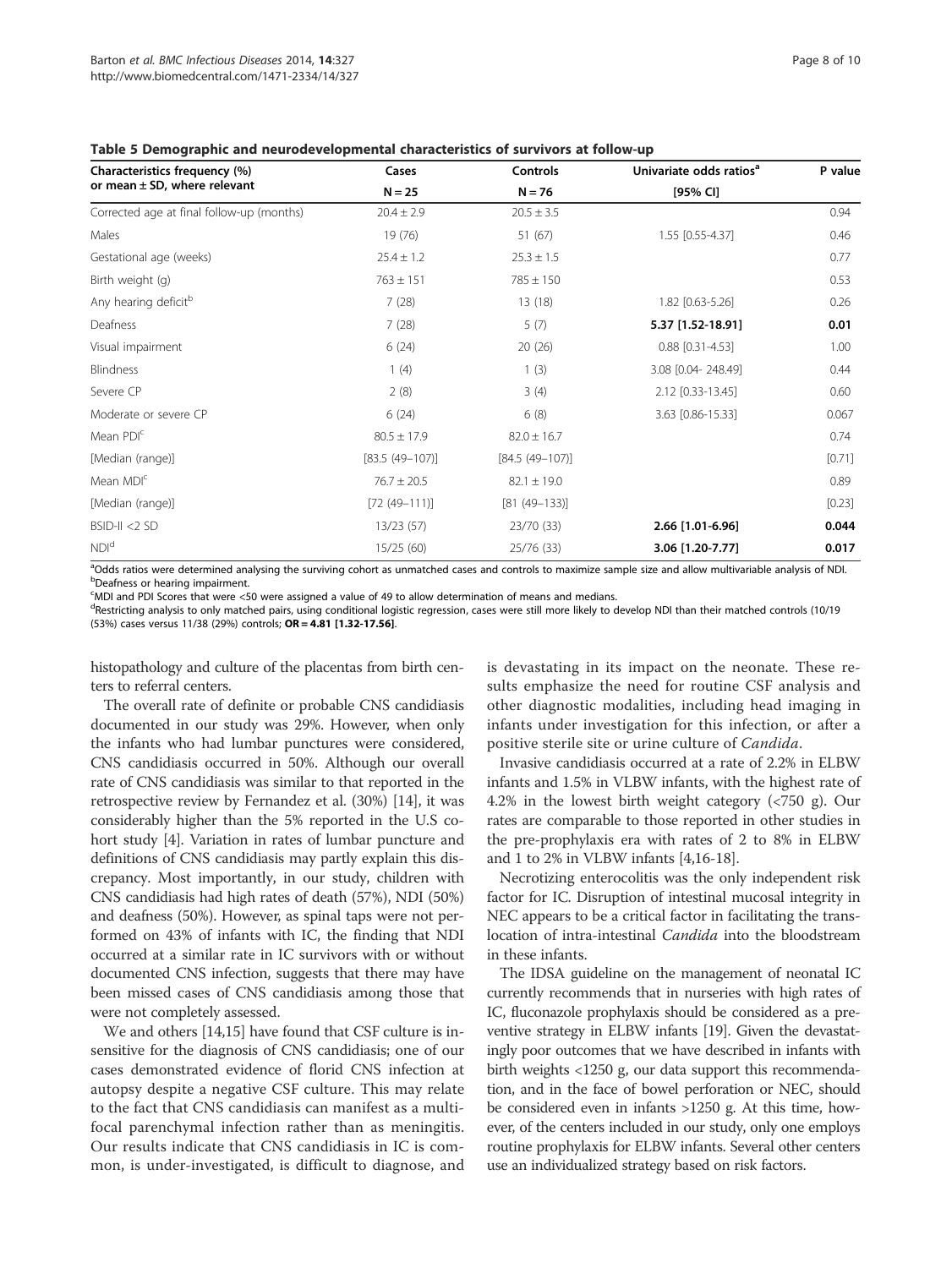| Characteristics frequency (%)             | Cases               | Controls            | Univariate odds ratios <sup>a</sup> | P value  |
|-------------------------------------------|---------------------|---------------------|-------------------------------------|----------|
| or mean $\pm$ SD, where relevant          | $N = 25$            | $N = 76$            | [95% CI]                            |          |
| Corrected age at final follow-up (months) | $20.4 \pm 2.9$      | $20.5 \pm 3.5$      |                                     | 0.94     |
| Males                                     | 19 (76)             | 51 (67)             | 1.55 [0.55-4.37]                    | 0.46     |
| Gestational age (weeks)                   | $25.4 \pm 1.2$      | $25.3 \pm 1.5$      |                                     | 0.77     |
| Birth weight (g)                          | $763 \pm 151$       | $785 \pm 150$       |                                     | 0.53     |
| Any hearing deficit <sup>b</sup>          | 7(28)               | 13(18)              | 1.82 [0.63-5.26]                    | 0.26     |
| Deafness                                  | 7(28)               | 5(7)                | 5.37 [1.52-18.91]                   | 0.01     |
| Visual impairment                         | 6(24)               | 20(26)              | $0.88$ [0.31-4.53]                  | 1.00     |
| Blindness                                 | 1(4)                | 1(3)                | 3.08 [0.04-248.49]                  | 0.44     |
| Severe CP                                 | 2(8)                | 3(4)                | 2.12 [0.33-13.45]                   | 0.60     |
| Moderate or severe CP                     | 6(24)               | 6(8)                | 3.63 [0.86-15.33]                   | 0.067    |
| Mean PDI <sup>c</sup>                     | $80.5 \pm 17.9$     | $82.0 \pm 16.7$     |                                     | 0.74     |
| [Median (range)]                          | $[83.5 (49 - 107)]$ | $[84.5 (49 - 107)]$ |                                     | $[0.71]$ |
| Mean MDI <sup>c</sup>                     | $76.7 \pm 20.5$     | $82.1 \pm 19.0$     |                                     | 0.89     |
| [Median (range)]                          | $[72 (49 - 111)]$   | $[81 (49 - 133)]$   |                                     | $[0.23]$ |
| $BSID-II < 2 SD$                          | 13/23(57)           | 23/70 (33)          | 2.66 [1.01-6.96]                    | 0.044    |
| NDI <sup>d</sup>                          | 15/25(60)           | 25/76 (33)          | 3.06 [1.20-7.77]                    | 0.017    |

#### Table 5 Demographic and neurodevelopmental characteristics of survivors at follow-up

<sup>a</sup>Odds ratios were determined analysing the surviving cohort as unmatched cases and controls to maximize sample size and allow multivariable analysis of NDI.<br>PDeafness or hearing impairment Deafness or hearing impairment.

c MDI and PDI Scores that were <50 were assigned a value of 49 to allow determination of means and medians.

<sup>d</sup>Restricting analysis to only matched pairs, using conditional logistic regression, cases were still more likely to develop NDI than their matched controls (10/19 (53%) cases versus 11/38 (29%) controls; OR = 4.81 [1.32-17.56].

histopathology and culture of the placentas from birth centers to referral centers.

The overall rate of definite or probable CNS candidiasis documented in our study was 29%. However, when only the infants who had lumbar punctures were considered, CNS candidiasis occurred in 50%. Although our overall rate of CNS candidiasis was similar to that reported in the retrospective review by Fernandez et al. (30%) [14], it was considerably higher than the 5% reported in the U.S cohort study [4]. Variation in rates of lumbar puncture and definitions of CNS candidiasis may partly explain this discrepancy. Most importantly, in our study, children with CNS candidiasis had high rates of death (57%), NDI (50%) and deafness (50%). However, as spinal taps were not performed on 43% of infants with IC, the finding that NDI occurred at a similar rate in IC survivors with or without documented CNS infection, suggests that there may have been missed cases of CNS candidiasis among those that were not completely assessed.

We and others [14,15] have found that CSF culture is insensitive for the diagnosis of CNS candidiasis; one of our cases demonstrated evidence of florid CNS infection at autopsy despite a negative CSF culture. This may relate to the fact that CNS candidiasis can manifest as a multifocal parenchymal infection rather than as meningitis. Our results indicate that CNS candidiasis in IC is common, is under-investigated, is difficult to diagnose, and

is devastating in its impact on the neonate. These results emphasize the need for routine CSF analysis and other diagnostic modalities, including head imaging in infants under investigation for this infection, or after a positive sterile site or urine culture of Candida.

Invasive candidiasis occurred at a rate of 2.2% in ELBW infants and 1.5% in VLBW infants, with the highest rate of 4.2% in the lowest birth weight category (<750 g). Our rates are comparable to those reported in other studies in the pre-prophylaxis era with rates of 2 to 8% in ELBW and 1 to 2% in VLBW infants [4,16-18].

Necrotizing enterocolitis was the only independent risk factor for IC. Disruption of intestinal mucosal integrity in NEC appears to be a critical factor in facilitating the translocation of intra-intestinal Candida into the bloodstream in these infants.

The IDSA guideline on the management of neonatal IC currently recommends that in nurseries with high rates of IC, fluconazole prophylaxis should be considered as a preventive strategy in ELBW infants [19]. Given the devastatingly poor outcomes that we have described in infants with birth weights <1250 g, our data support this recommendation, and in the face of bowel perforation or NEC, should be considered even in infants >1250 g. At this time, however, of the centers included in our study, only one employs routine prophylaxis for ELBW infants. Several other centers use an individualized strategy based on risk factors.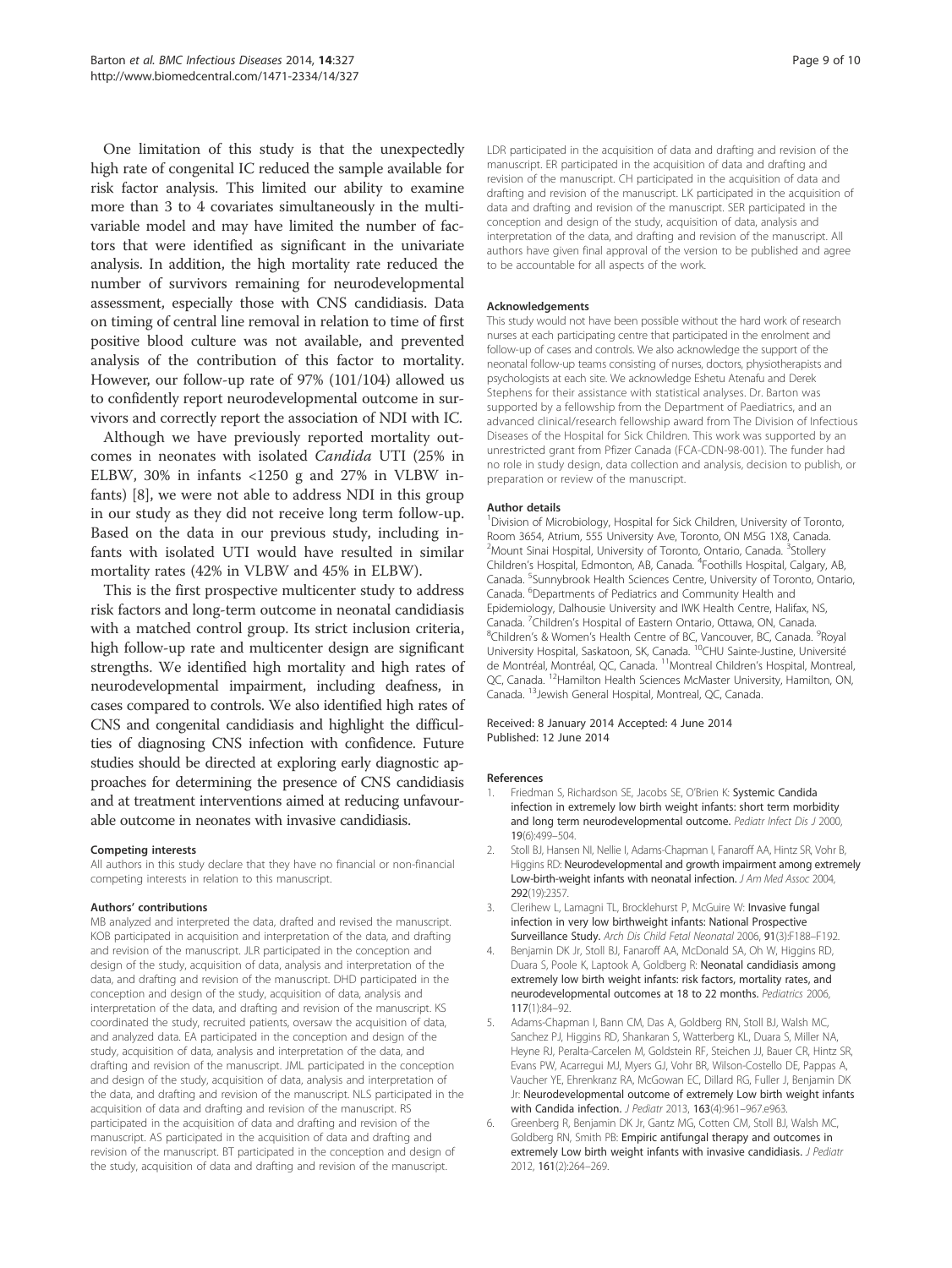One limitation of this study is that the unexpectedly high rate of congenital IC reduced the sample available for risk factor analysis. This limited our ability to examine more than 3 to 4 covariates simultaneously in the multivariable model and may have limited the number of factors that were identified as significant in the univariate analysis. In addition, the high mortality rate reduced the number of survivors remaining for neurodevelopmental assessment, especially those with CNS candidiasis. Data on timing of central line removal in relation to time of first positive blood culture was not available, and prevented analysis of the contribution of this factor to mortality. However, our follow-up rate of 97% (101/104) allowed us to confidently report neurodevelopmental outcome in survivors and correctly report the association of NDI with IC.

Although we have previously reported mortality outcomes in neonates with isolated Candida UTI (25% in ELBW, 30% in infants <1250 g and 27% in VLBW infants) [8], we were not able to address NDI in this group in our study as they did not receive long term follow-up. Based on the data in our previous study, including infants with isolated UTI would have resulted in similar mortality rates (42% in VLBW and 45% in ELBW).

This is the first prospective multicenter study to address risk factors and long-term outcome in neonatal candidiasis with a matched control group. Its strict inclusion criteria, high follow-up rate and multicenter design are significant strengths. We identified high mortality and high rates of neurodevelopmental impairment, including deafness, in cases compared to controls. We also identified high rates of CNS and congenital candidiasis and highlight the difficulties of diagnosing CNS infection with confidence. Future studies should be directed at exploring early diagnostic approaches for determining the presence of CNS candidiasis and at treatment interventions aimed at reducing unfavourable outcome in neonates with invasive candidiasis.

#### Competing interests

All authors in this study declare that they have no financial or non-financial competing interests in relation to this manuscript.

#### Authors' contributions

MB analyzed and interpreted the data, drafted and revised the manuscript. KOB participated in acquisition and interpretation of the data, and drafting and revision of the manuscript. JLR participated in the conception and design of the study, acquisition of data, analysis and interpretation of the data, and drafting and revision of the manuscript. DHD participated in the conception and design of the study, acquisition of data, analysis and interpretation of the data, and drafting and revision of the manuscript. KS coordinated the study, recruited patients, oversaw the acquisition of data, and analyzed data. EA participated in the conception and design of the study, acquisition of data, analysis and interpretation of the data, and drafting and revision of the manuscript. JML participated in the conception and design of the study, acquisition of data, analysis and interpretation of the data, and drafting and revision of the manuscript. NLS participated in the acquisition of data and drafting and revision of the manuscript. RS participated in the acquisition of data and drafting and revision of the manuscript. AS participated in the acquisition of data and drafting and revision of the manuscript. BT participated in the conception and design of the study, acquisition of data and drafting and revision of the manuscript.

LDR participated in the acquisition of data and drafting and revision of the manuscript. ER participated in the acquisition of data and drafting and revision of the manuscript. CH participated in the acquisition of data and drafting and revision of the manuscript. LK participated in the acquisition of data and drafting and revision of the manuscript. SER participated in the conception and design of the study, acquisition of data, analysis and interpretation of the data, and drafting and revision of the manuscript. All authors have given final approval of the version to be published and agree to be accountable for all aspects of the work.

#### Acknowledgements

This study would not have been possible without the hard work of research nurses at each participating centre that participated in the enrolment and follow-up of cases and controls. We also acknowledge the support of the neonatal follow-up teams consisting of nurses, doctors, physiotherapists and psychologists at each site. We acknowledge Eshetu Atenafu and Derek Stephens for their assistance with statistical analyses. Dr. Barton was supported by a fellowship from the Department of Paediatrics, and an advanced clinical/research fellowship award from The Division of Infectious Diseases of the Hospital for Sick Children. This work was supported by an unrestricted grant from Pfizer Canada (FCA-CDN-98-001). The funder had no role in study design, data collection and analysis, decision to publish, or preparation or review of the manuscript.

#### Author details

<sup>1</sup> Division of Microbiology, Hospital for Sick Children, University of Toronto, Room 3654, Atrium, 555 University Ave, Toronto, ON M5G 1X8, Canada. <sup>2</sup>Mount Sinai Hospital, University of Toronto, Ontario, Canada. <sup>3</sup>Stollery Children's Hospital, Edmonton, AB, Canada. <sup>4</sup>Foothills Hospital, Calgary, AB Canada. <sup>5</sup>Sunnybrook Health Sciences Centre, University of Toronto, Ontario, Canada. <sup>6</sup> Departments of Pediatrics and Community Health and Epidemiology, Dalhousie University and IWK Health Centre, Halifax, NS, Canada. <sup>7</sup>Children's Hospital of Eastern Ontario, Ottawa, ON, Canada.<br><sup>8</sup>Children's & Women's Health Centre of BC Vancouver, BC Canada. Children's & Women's Health Centre of BC, Vancouver, BC, Canada. <sup>9</sup>Royal University Hospital, Saskatoon, SK, Canada. 10CHU Sainte-Justine, Université de Montréal, Montréal, QC, Canada. 11Montreal Children's Hospital, Montreal, QC, Canada. <sup>12</sup>Hamilton Health Sciences McMaster University, Hamilton, ON, Canada. 13Jewish General Hospital, Montreal, QC, Canada.

#### Received: 8 January 2014 Accepted: 4 June 2014 Published: 12 June 2014

#### References

- Friedman S, Richardson SE, Jacobs SE, O'Brien K: Systemic Candida infection in extremely low birth weight infants: short term morbidity and long term neurodevelopmental outcome. Pediatr Infect Dis J 2000, 19(6):499–504.
- Stoll BJ, Hansen NI, Nellie I, Adams-Chapman I, Fanaroff AA, Hintz SR, Vohr B, Higgins RD: Neurodevelopmental and growth impairment among extremely Low-birth-weight infants with neonatal infection. J Am Med Assoc 2004, 292(19):2357.
- 3. Clerihew L, Lamagni TL, Brocklehurst P, McGuire W: Invasive fungal infection in very low birthweight infants: National Prospective Surveillance Study. Arch Dis Child Fetal Neonatal 2006, 91(3):F188–F192.
- Benjamin DK Jr, Stoll BJ, Fanaroff AA, McDonald SA, Oh W, Higgins RD, Duara S, Poole K, Laptook A, Goldberg R: Neonatal candidiasis among extremely low birth weight infants: risk factors, mortality rates, and neurodevelopmental outcomes at 18 to 22 months. Pediatrics 2006, 117(1):84–92.
- 5. Adams-Chapman I, Bann CM, Das A, Goldberg RN, Stoll BJ, Walsh MC, Sanchez PJ, Higgins RD, Shankaran S, Watterberg KL, Duara S, Miller NA, Heyne RJ, Peralta-Carcelen M, Goldstein RF, Steichen JJ, Bauer CR, Hintz SR, Evans PW, Acarregui MJ, Myers GJ, Vohr BR, Wilson-Costello DE, Pappas A, Vaucher YE, Ehrenkranz RA, McGowan EC, Dillard RG, Fuller J, Benjamin DK Jr: Neurodevelopmental outcome of extremely Low birth weight infants with Candida infection. J Pediatr 2013, 163(4):961–967.e963.
- 6. Greenberg R, Benjamin DK Jr, Gantz MG, Cotten CM, Stoll BJ, Walsh MC, Goldberg RN, Smith PB: Empiric antifungal therapy and outcomes in extremely Low birth weight infants with invasive candidiasis. J Pediatr 2012, 161(2):264–269.